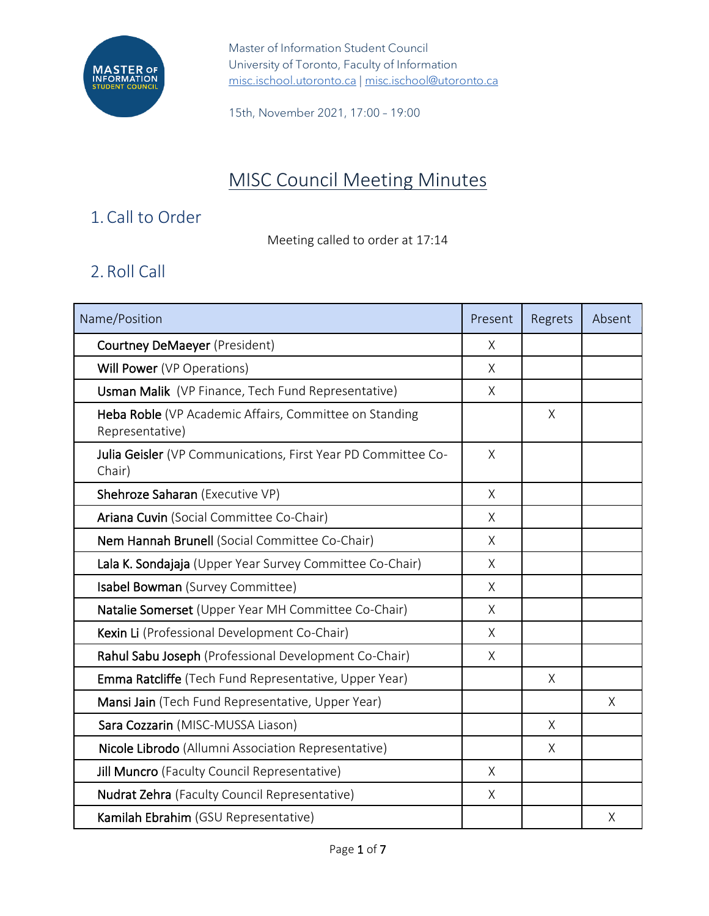

15th, November 2021, 17:00 – 19:00

# MISC Council Meeting Minutes

## 1.Call to Order

Meeting called to order at 17:14

## 2.Roll Call

| Name/Position                                                             | Present      | Regrets | Absent |
|---------------------------------------------------------------------------|--------------|---------|--------|
| <b>Courtney DeMaeyer (President)</b>                                      | X            |         |        |
| Will Power (VP Operations)                                                | X            |         |        |
| Usman Malik (VP Finance, Tech Fund Representative)                        | $\mathsf{X}$ |         |        |
| Heba Roble (VP Academic Affairs, Committee on Standing<br>Representative) |              | X       |        |
| Julia Geisler (VP Communications, First Year PD Committee Co-<br>Chair)   | $\times$     |         |        |
| Shehroze Saharan (Executive VP)                                           | X            |         |        |
| Ariana Cuvin (Social Committee Co-Chair)                                  | X            |         |        |
| Nem Hannah Brunell (Social Committee Co-Chair)                            | $\sf X$      |         |        |
| Lala K. Sondajaja (Upper Year Survey Committee Co-Chair)                  | X            |         |        |
| Isabel Bowman (Survey Committee)                                          | X            |         |        |
| Natalie Somerset (Upper Year MH Committee Co-Chair)                       | X            |         |        |
| Kexin Li (Professional Development Co-Chair)                              | $\times$     |         |        |
| Rahul Sabu Joseph (Professional Development Co-Chair)                     | X            |         |        |
| Emma Ratcliffe (Tech Fund Representative, Upper Year)                     |              | X       |        |
| Mansi Jain (Tech Fund Representative, Upper Year)                         |              |         | X      |
| Sara Cozzarin (MISC-MUSSA Liason)                                         |              | $\sf X$ |        |
| Nicole Librodo (Allumni Association Representative)                       |              | X       |        |
| Jill Muncro (Faculty Council Representative)                              | X            |         |        |
| <b>Nudrat Zehra</b> (Faculty Council Representative)                      | X            |         |        |
| Kamilah Ebrahim (GSU Representative)                                      |              |         | Χ      |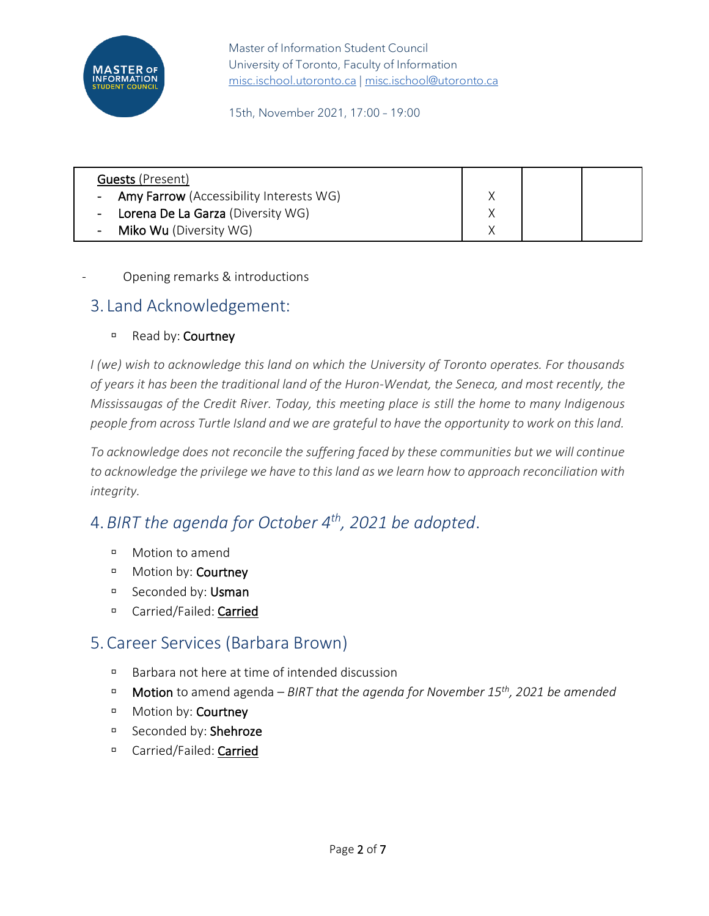

15th, November 2021, 17:00 – 19:00

| <b>Guests (Present)</b>                   |  |  |
|-------------------------------------------|--|--|
| - Amy Farrow (Accessibility Interests WG) |  |  |
| - Lorena De La Garza (Diversity WG)       |  |  |
| - Miko Wu (Diversity WG)                  |  |  |

#### Opening remarks & introductions

### 3. Land Acknowledgement:

#### **B** Read by: Courtney

*I (we) wish to acknowledge this land on which the University of Toronto operates. For thousands of years it has been the traditional land of the Huron-Wendat, the Seneca, and most recently, the Mississaugas of the Credit River. Today, this meeting place is still the home to many Indigenous people from across Turtle Island and we are grateful to have the opportunity to work on this land.* 

*To acknowledge does not reconcile the suffering faced by these communities but we will continue to acknowledge the privilege we have to this land as we learn how to approach reconciliation with integrity.*

## 4.*BIRT the agenda for October 4th, 2021 be adopted*.

- Motion to amend
- <sup>D</sup> Motion by: **Courtney**
- Seconded by: Usman
- <sup>D</sup> Carried/Failed: Carried

## 5.Career Services (Barbara Brown)

- Barbara not here at time of intended discussion
- Motion to amend agenda *BIRT that the agenda for November 15th, 2021 be amended*
- **D** Motion by: **Courtney**
- Seconded by: Shehroze
- <sup>D</sup> Carried/Failed: Carried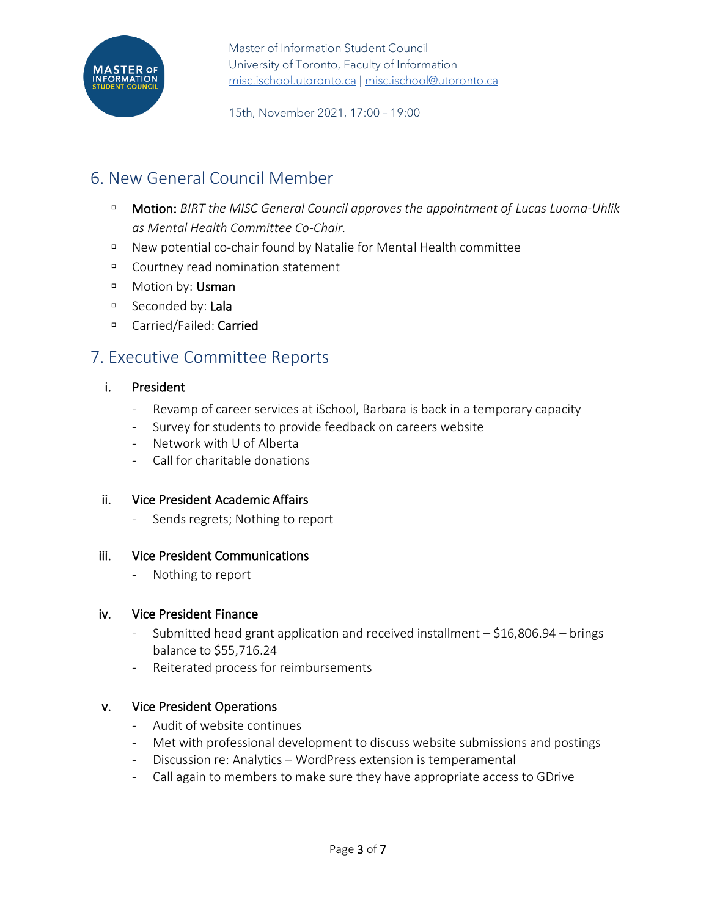

15th, November 2021, 17:00 – 19:00

## 6. New General Council Member

- Motion: *BIRT the MISC General Council approves the appointment of Lucas Luoma-Uhlik as Mental Health Committee Co-Chair.*
- New potential co-chair found by Natalie for Mental Health committee
- Courtney read nomination statement
- **D** Motion by: Usman
- Seconded by: Lala
- □ Carried/Failed: Carried

## 7. Executive Committee Reports

#### i. President

- Revamp of career services at iSchool, Barbara is back in a temporary capacity
- Survey for students to provide feedback on careers website
- Network with U of Alberta
- Call for charitable donations

#### ii. Vice President Academic Affairs

Sends regrets; Nothing to report

#### iii. Vice President Communications

- Nothing to report

#### iv. Vice President Finance

- Submitted head grant application and received installment \$16,806.94 brings balance to \$55,716.24
- Reiterated process for reimbursements

#### v. Vice President Operations

- Audit of website continues
- Met with professional development to discuss website submissions and postings
- Discussion re: Analytics WordPress extension is temperamental
- Call again to members to make sure they have appropriate access to GDrive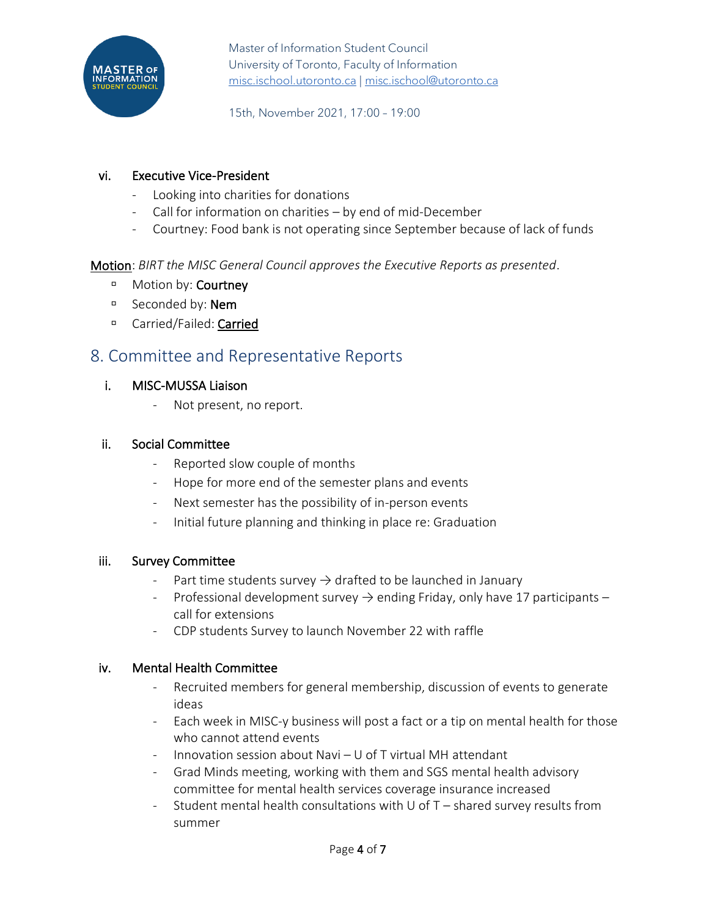

15th, November 2021, 17:00 – 19:00

#### vi. Executive Vice-President

- Looking into charities for donations
- Call for information on charities by end of mid-December
- Courtney: Food bank is not operating since September because of lack of funds

Motion: *BIRT the MISC General Council approves the Executive Reports as presented*.

- <sup>D</sup> Motion by: **Courtney**
- □ Seconded by: **Nem**
- <sup>D</sup> Carried/Failed: Carried

### 8. Committee and Representative Reports

#### i. MISC-MUSSA Liaison

- Not present, no report.

#### ii. Social Committee

- Reported slow couple of months
- Hope for more end of the semester plans and events
- Next semester has the possibility of in-person events
- Initial future planning and thinking in place re: Graduation

#### iii. Survey Committee

- Part time students survey  $\rightarrow$  drafted to be launched in January
- Professional development survey  $\rightarrow$  ending Friday, only have 17 participants call for extensions
- CDP students Survey to launch November 22 with raffle

#### iv. Mental Health Committee

- Recruited members for general membership, discussion of events to generate ideas
- Each week in MISC-y business will post a fact or a tip on mental health for those who cannot attend events
- Innovation session about Navi U of T virtual MH attendant
- Grad Minds meeting, working with them and SGS mental health advisory committee for mental health services coverage insurance increased
- Student mental health consultations with U of  $T -$  shared survey results from summer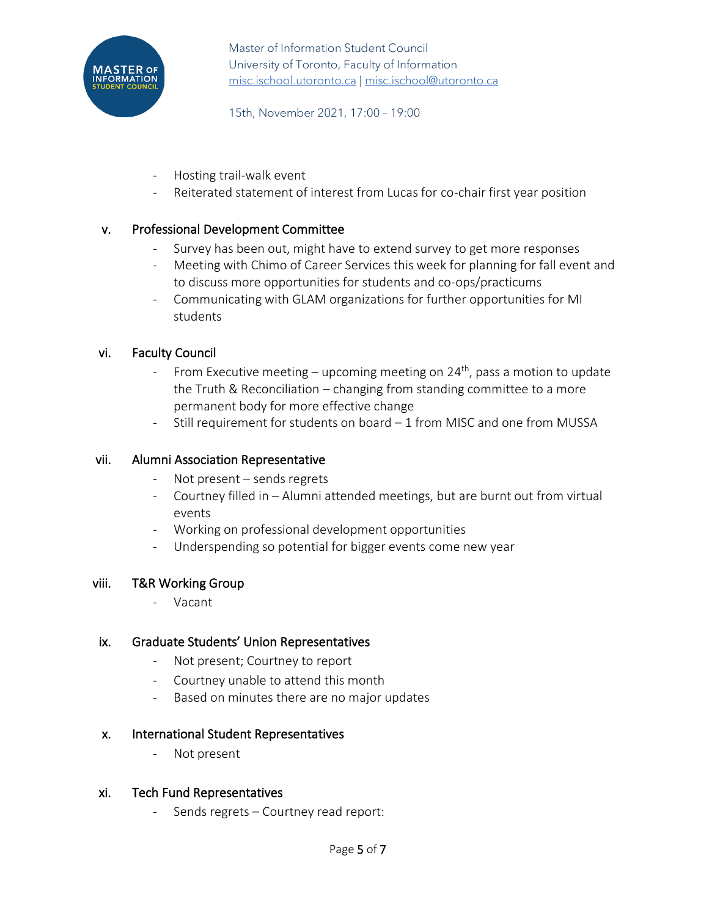

15th, November 2021, 17:00 – 19:00

- Hosting trail-walk event
- Reiterated statement of interest from Lucas for co-chair first year position

#### v. Professional Development Committee

- Survey has been out, might have to extend survey to get more responses
- Meeting with Chimo of Career Services this week for planning for fall event and to discuss more opportunities for students and co-ops/practicums
- Communicating with GLAM organizations for further opportunities for MI students

#### vi. Faculty Council

- From Executive meeting upcoming meeting on 24<sup>th</sup>, pass a motion to update the Truth & Reconciliation – changing from standing committee to a more permanent body for more effective change
- Still requirement for students on board 1 from MISC and one from MUSSA

#### vii. Alumni Association Representative

- Not present  $-$  sends regrets
- Courtney filled in Alumni attended meetings, but are burnt out from virtual events
- Working on professional development opportunities
- Underspending so potential for bigger events come new year

#### viii. T&R Working Group

- Vacant

#### ix. Graduate Students' Union Representatives

- Not present; Courtney to report
- Courtney unable to attend this month
- Based on minutes there are no major updates

#### x. International Student Representatives

- Not present

#### xi. Tech Fund Representatives

Sends regrets - Courtney read report: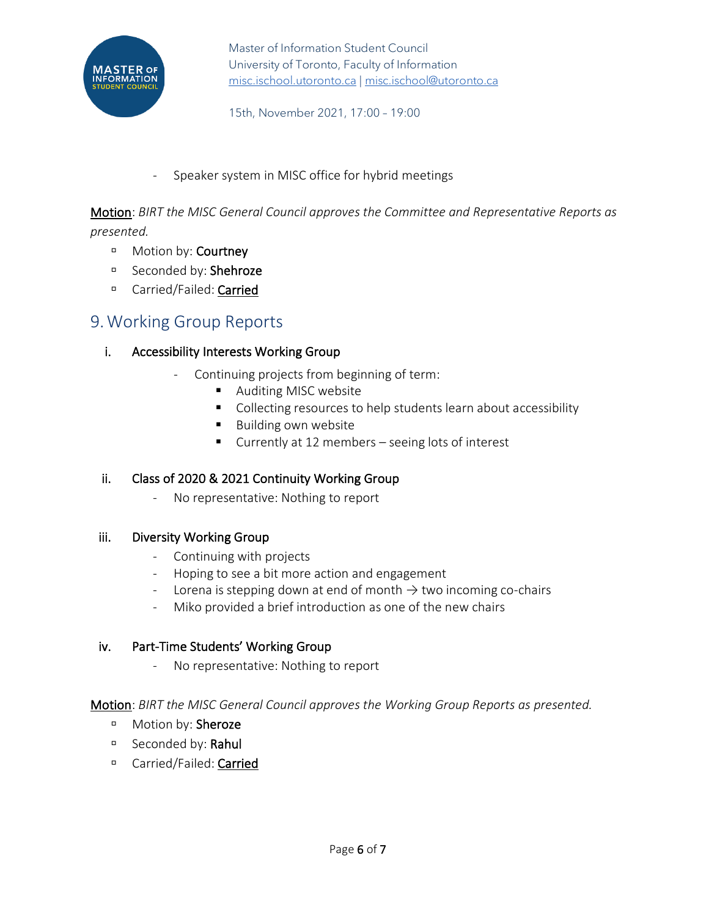

15th, November 2021, 17:00 – 19:00

#### Speaker system in MISC office for hybrid meetings

Motion: *BIRT the MISC General Council approves the Committee and Representative Reports as presented.*

- **D** Motion by: **Courtney**
- □ Seconded by: Shehroze
- <sup>D</sup> Carried/Failed: Carried

### 9.Working Group Reports

#### i. Accessibility Interests Working Group

- Continuing projects from beginning of term:
	- Auditing MISC website
	- Collecting resources to help students learn about accessibility
	- Building own website
	- Currently at 12 members seeing lots of interest

#### ii. Class of 2020 & 2021 Continuity Working Group

- No representative: Nothing to report

#### iii. Diversity Working Group

- Continuing with projects
- Hoping to see a bit more action and engagement
- Lorena is stepping down at end of month  $\rightarrow$  two incoming co-chairs
- Miko provided a brief introduction as one of the new chairs

#### iv. Part-Time Students' Working Group

- No representative: Nothing to report

#### Motion: *BIRT the MISC General Council approves the Working Group Reports as presented.*

- **Motion by: Sheroze**
- □ Seconded by: Rahul
- □ Carried/Failed: Carried